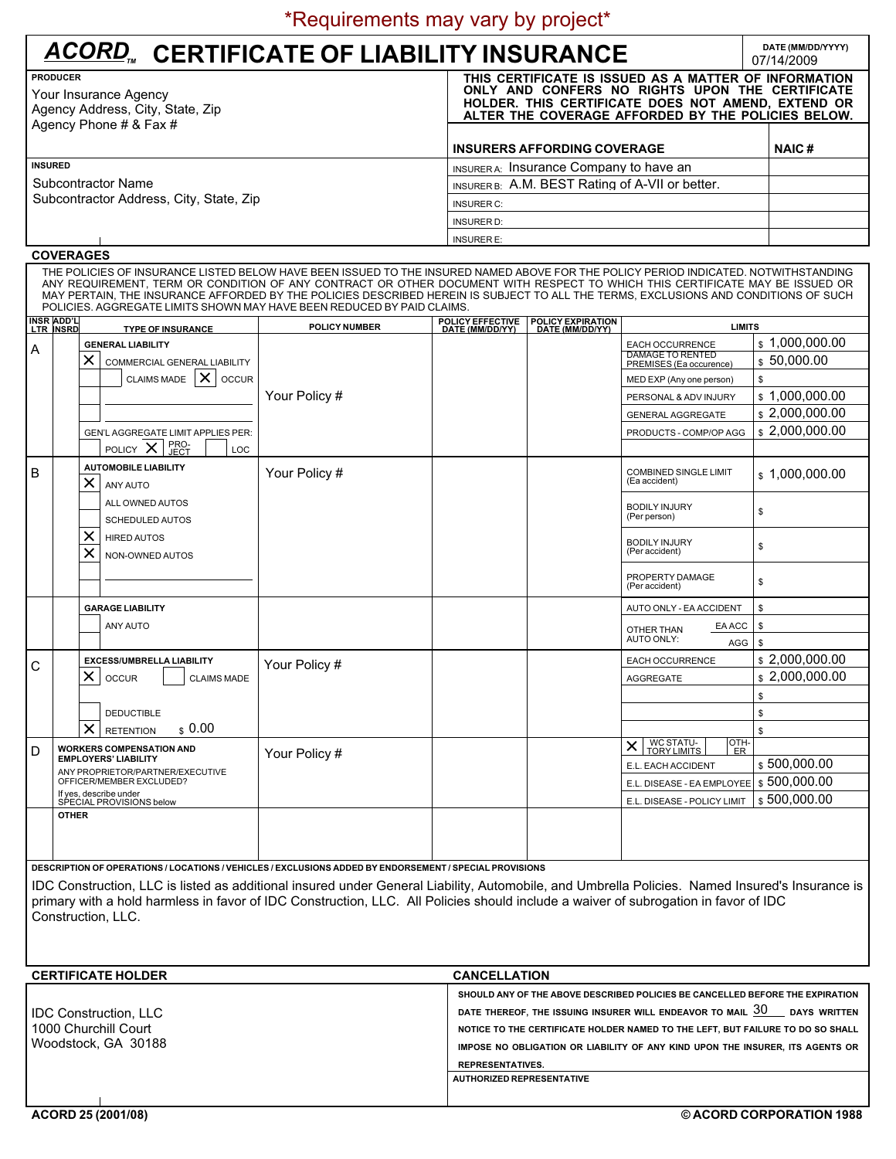| ACORD <sub>n</sub> CERTIFICATE OF LIABILITY INSURANCE                        |                                                                                                                                                                                                                      |              |  |  |  |  |
|------------------------------------------------------------------------------|----------------------------------------------------------------------------------------------------------------------------------------------------------------------------------------------------------------------|--------------|--|--|--|--|
| <b>PRODUCER</b><br>Your Insurance Agency<br>Agency Address, City, State, Zip | THIS CERTIFICATE IS ISSUED AS A MATTER OF INFORMATION<br>ONLY AND CONFERS NO RIGHTS UPON THE CERTIFICATE<br>HOLDER. THIS CERTIFICATE DOES NOT AMEND, EXTEND OR<br>ALTER THE COVERAGE AFFORDED BY THE POLICIES BELOW. |              |  |  |  |  |
| Agency Phone # $&$ Fax #                                                     | <b>INSURERS AFFORDING COVERAGE</b>                                                                                                                                                                                   | <b>NAIC#</b> |  |  |  |  |
| <b>INSURED</b>                                                               | INSURERA: Insurance Company to have an                                                                                                                                                                               |              |  |  |  |  |
| Subcontractor Name                                                           | INSURER B: A.M. BEST Rating of A-VII or better.                                                                                                                                                                      |              |  |  |  |  |
| Subcontractor Address, City, State, Zip                                      | <b>INSURER C:</b>                                                                                                                                                                                                    |              |  |  |  |  |

## **COVERAGES**

THE POLICIES OF INSURANCE LISTED BELOW HAVE BEEN ISSUED TO THE INSURED NAMED ABOVE FOR THE POLICY PERIOD INDICATED. NOTWITHSTANDING ANY REQUIREMENT, TERM OR CONDITION OF ANY CONTRACT OR OTHER DOCUMENT WITH RESPECT TO WHICH THIS CERTIFICATE MAY BE ISSUED OR<br>MAY PERTAIN, THE INSURANCE AFFORDED BY THE POLICIES DESCRIBED HEREIN IS SUBJECT TO ALL THE TERMS,

INSURER D: INSURER E:

|   | <b>INSR ADD'L</b><br>LTR INSRD                                                                                                                    | <b>TYPE OF INSURANCE</b>                                                                       | <b>POLICY NUMBER</b> | POLICY EFFECTIVE<br>DATE (MM/DD/YY) | <b>POLICY EXPIRATION<br/>DATE (MM/DD/YY)</b>               | <b>LIMITS</b>                                                         |                               |
|---|---------------------------------------------------------------------------------------------------------------------------------------------------|------------------------------------------------------------------------------------------------|----------------------|-------------------------------------|------------------------------------------------------------|-----------------------------------------------------------------------|-------------------------------|
| Α |                                                                                                                                                   | <b>GENERAL LIABILITY</b><br>$\times$<br><b>COMMERCIAL GENERAL LIABILITY</b>                    |                      |                                     |                                                            | EACH OCCURRENCE<br><b>DAMAGE TO RENTED</b><br>PREMISES (Ea occurence) | \$1.000.000.00<br>\$50,000.00 |
|   |                                                                                                                                                   | $\times$ $\circ$ occur<br><b>CLAIMS MADE</b>                                                   |                      |                                     |                                                            | MED EXP (Any one person)                                              | \$                            |
|   |                                                                                                                                                   |                                                                                                | Your Policy #        |                                     |                                                            | PERSONAL & ADV INJURY                                                 | \$1.000.000.00                |
|   |                                                                                                                                                   |                                                                                                |                      |                                     |                                                            | <b>GENERAL AGGREGATE</b>                                              | \$2,000,000.00                |
|   |                                                                                                                                                   | <b>GEN'L AGGREGATE LIMIT APPLIES PER:</b><br>PRO-<br>JECT<br>POLICY $\mathsf{X}$<br><b>LOC</b> |                      |                                     |                                                            | PRODUCTS - COMP/OP AGG                                                | \$2,000,000.00                |
| B |                                                                                                                                                   | <b>AUTOMOBILE LIABILITY</b><br>$\times$<br>ANY AUTO                                            | Your Policy #        |                                     |                                                            | <b>COMBINED SINGLE LIMIT</b><br>(Ea accident)                         | \$1,000,000.00                |
|   |                                                                                                                                                   | ALL OWNED AUTOS<br><b>SCHEDULED AUTOS</b>                                                      |                      |                                     |                                                            | <b>BODILY INJURY</b><br>(Per person)                                  | \$                            |
|   |                                                                                                                                                   | $\times$<br><b>HIRED AUTOS</b><br>$\times$<br>NON-OWNED AUTOS                                  |                      |                                     |                                                            | <b>BODILY INJURY</b><br>(Per accident)                                | \$                            |
|   |                                                                                                                                                   |                                                                                                |                      |                                     |                                                            | PROPERTY DAMAGE<br>(Per accident)                                     | \$                            |
|   |                                                                                                                                                   | <b>GARAGE LIABILITY</b>                                                                        |                      |                                     |                                                            | AUTO ONLY - EA ACCIDENT                                               | \$                            |
|   |                                                                                                                                                   | ANY AUTO                                                                                       |                      |                                     |                                                            | EA ACC<br>OTHER THAN<br>AUTO ONLY:<br>AGG                             | \$<br>\$                      |
| C | $\times$                                                                                                                                          | <b>EXCESS/UMBRELLA LIABILITY</b>                                                               | Your Policy #        |                                     |                                                            | <b>EACH OCCURRENCE</b>                                                | \$2.000.000.00                |
|   |                                                                                                                                                   | <b>OCCUR</b><br><b>CLAIMS MADE</b>                                                             |                      |                                     |                                                            | AGGREGATE                                                             | \$2.000.000.00                |
|   |                                                                                                                                                   |                                                                                                |                      |                                     |                                                            |                                                                       | \$                            |
|   |                                                                                                                                                   | <b>DEDUCTIBLE</b>                                                                              |                      |                                     |                                                            |                                                                       | \$                            |
|   |                                                                                                                                                   | $\times$<br>\$0.00<br><b>RETENTION</b>                                                         |                      |                                     |                                                            |                                                                       | \$                            |
| D | <b>WORKERS COMPENSATION AND</b>                                                                                                                   | Your Policy #                                                                                  |                      |                                     | <b>WC STATU-<br/>TORY LIMITS</b><br>OTH-<br>$\times$<br>ER |                                                                       |                               |
|   | <b>EMPLOYERS' LIABILITY</b><br>ANY PROPRIETOR/PARTNER/EXECUTIVE<br>OFFICER/MEMBER EXCLUDED?<br>If yes, describe under<br>SPECIAL PROVISIONS below |                                                                                                |                      |                                     | E.L. EACH ACCIDENT                                         | \$500,000.00                                                          |                               |
|   |                                                                                                                                                   |                                                                                                |                      |                                     | E.L. DISEASE - EA EMPLOYEE                                 | \$500,000.00                                                          |                               |
|   |                                                                                                                                                   |                                                                                                |                      |                                     |                                                            | E.L. DISEASE - POLICY LIMIT                                           | \$500,000.00                  |
|   | <b>OTHER</b>                                                                                                                                      |                                                                                                |                      |                                     |                                                            |                                                                       |                               |

**DESCRIPTION OF OPERATIONS / LOCATIONS / VEHICLES / EXCLUSIONS ADDED BY ENDORSEMENT / SPECIAL PROVISIONS**

IDC Construction, LLC is listed as additional insured under General Liability, Automobile, and Umbrella Policies. Named Insured's Insurance is primary with a hold harmless in favor of IDC Construction, LLC. All Policies should include a waiver of subrogation in favor of IDC Construction, LLC.

| <b>CERTIFICATE HOLDER</b>                                                   | <b>CANCELLATION</b>                                                                                                                                                                                                                                                                                                                                                                          |
|-----------------------------------------------------------------------------|----------------------------------------------------------------------------------------------------------------------------------------------------------------------------------------------------------------------------------------------------------------------------------------------------------------------------------------------------------------------------------------------|
| <b>IDC Construction, LLC</b><br>1000 Churchill Court<br>Woodstock, GA 30188 | SHOULD ANY OF THE ABOVE DESCRIBED POLICIES BE CANCELLED BEFORE THE EXPIRATION<br>DATE THEREOF, THE ISSUING INSURER WILL ENDEAVOR TO MAIL $30$ DAYS WRITTEN<br>NOTICE TO THE CERTIFICATE HOLDER NAMED TO THE LEFT, BUT FAILURE TO DO SO SHALL<br>IMPOSE NO OBLIGATION OR LIABILITY OF ANY KIND UPON THE INSURER. ITS AGENTS OR<br><b>REPRESENTATIVES.</b><br><b>AUTHORIZED REPRESENTATIVE</b> |